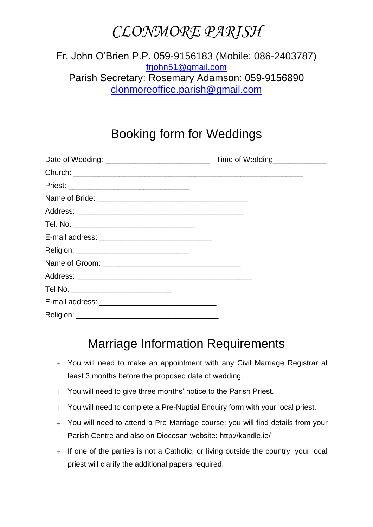## *CLONMORE PARISH*

#### Fr. John O'Brien P.P. 059-9156183 (Mobile: 086-2403787) [frjohn51@gmail.com](mailto:frjohn51@gmail.com) Parish Secretary: Rosemary Adamson: 059-9156890 [clonmoreoffice.parish@gmail.com](mailto:clonmoreoffice.parish@gmail.com)

### Booking form for Weddings

|                                       | Time of Wedding |
|---------------------------------------|-----------------|
|                                       |                 |
|                                       |                 |
|                                       |                 |
|                                       |                 |
|                                       |                 |
|                                       |                 |
|                                       |                 |
|                                       |                 |
|                                       |                 |
| Tel No. _____________________________ |                 |
|                                       |                 |
|                                       |                 |

#### Marriage Information Requirements

- + You will need to make an appointment with any Civil Marriage Registrar at least 3 months before the proposed date of wedding.
- + You will need to give three months' notice to the Parish Priest.
- + You will need to complete a Pre-Nuptial Enquiry form with your local priest.
- + You will need to attend a Pre Marriage course; you will find details from your Parish Centre and also on Diocesan website: http://kandle.ie/
- + If one of the parties is not a Catholic, or living outside the country, your local priest will clarify the additional papers required.